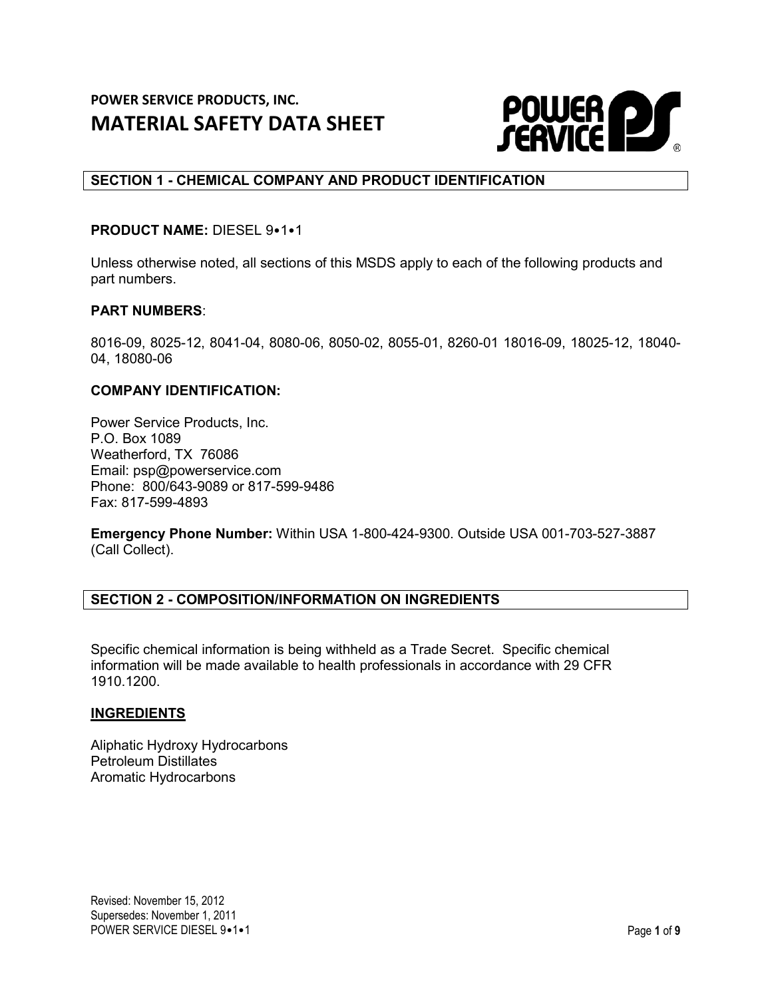

# **SECTION 1 - CHEMICAL COMPANY AND PRODUCT IDENTIFICATION**

## **PRODUCT NAME:** DIESEL 9•1•1

Unless otherwise noted, all sections of this MSDS apply to each of the following products and part numbers.

### **PART NUMBERS**:

8016-09, 8025-12, 8041-04, 8080-06, 8050-02, 8055-01, 8260-01 18016-09, 18025-12, 18040- 04, 18080-06

### **COMPANY IDENTIFICATION:**

Power Service Products, Inc. P.O. Box 1089 Weatherford, TX 76086 Email: psp@powerservice.com Phone: 800/643-9089 or 817-599-9486 Fax: 817-599-4893

**Emergency Phone Number:** Within USA 1-800-424-9300. Outside USA 001-703-527-3887 (Call Collect).

## **SECTION 2 - COMPOSITION/INFORMATION ON INGREDIENTS**

Specific chemical information is being withheld as a Trade Secret. Specific chemical information will be made available to health professionals in accordance with 29 CFR 1910.1200.

## **INGREDIENTS**

Aliphatic Hydroxy Hydrocarbons Petroleum Distillates Aromatic Hydrocarbons

Revised: November 15, 2012 Supersedes: November 1, 2011 POWER SERVICE DIESEL 9•1•1 Page 1 of 9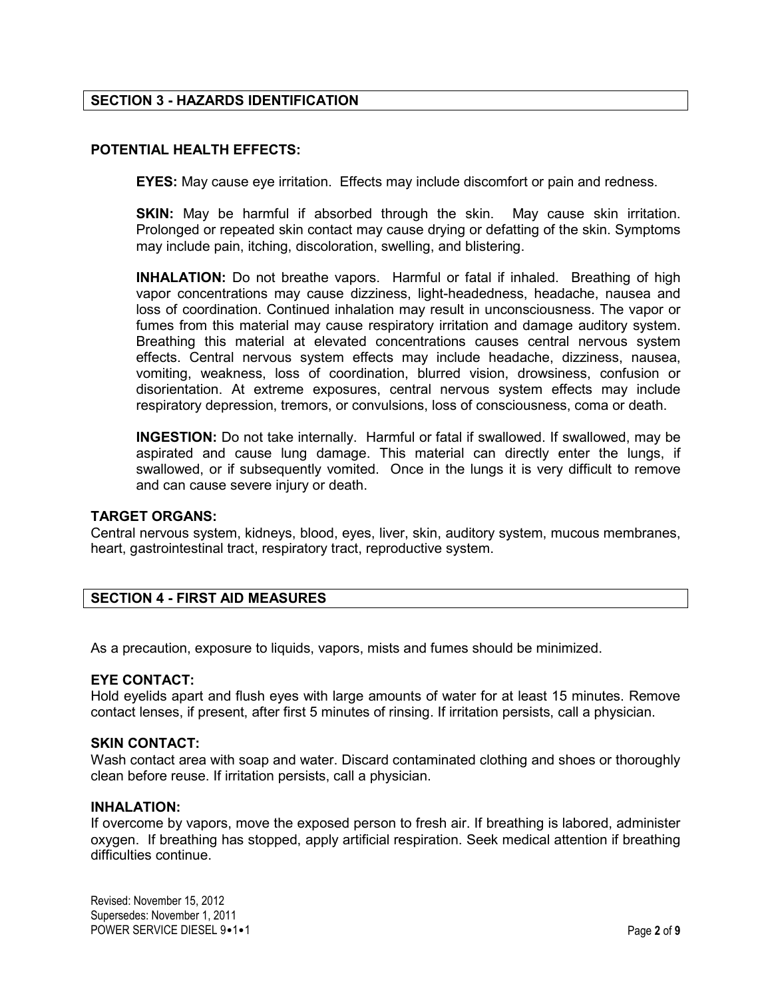# **SECTION 3 - HAZARDS IDENTIFICATION**

# **POTENTIAL HEALTH EFFECTS:**

**EYES:** May cause eye irritation. Effects may include discomfort or pain and redness.

**SKIN:** May be harmful if absorbed through the skin.May cause skin irritation. Prolonged or repeated skin contact may cause drying or defatting of the skin. Symptoms may include pain, itching, discoloration, swelling, and blistering.

**INHALATION:** Do not breathe vapors. Harmful or fatal if inhaled. Breathing of high vapor concentrations may cause dizziness, light-headedness, headache, nausea and loss of coordination. Continued inhalation may result in unconsciousness. The vapor or fumes from this material may cause respiratory irritation and damage auditory system. Breathing this material at elevated concentrations causes central nervous system effects. Central nervous system effects may include headache, dizziness, nausea, vomiting, weakness, loss of coordination, blurred vision, drowsiness, confusion or disorientation. At extreme exposures, central nervous system effects may include respiratory depression, tremors, or convulsions, loss of consciousness, coma or death.

**INGESTION:** Do not take internally. Harmful or fatal if swallowed. If swallowed, may be aspirated and cause lung damage. This material can directly enter the lungs, if swallowed, or if subsequently vomited. Once in the lungs it is very difficult to remove and can cause severe injury or death.

## **TARGET ORGANS:**

Central nervous system, kidneys, blood, eyes, liver, skin, auditory system, mucous membranes, heart, gastrointestinal tract, respiratory tract, reproductive system.

# **SECTION 4 - FIRST AID MEASURES**

As a precaution, exposure to liquids, vapors, mists and fumes should be minimized.

#### **EYE CONTACT:**

Hold eyelids apart and flush eyes with large amounts of water for at least 15 minutes. Remove contact lenses, if present, after first 5 minutes of rinsing. If irritation persists, call a physician.

#### **SKIN CONTACT:**

Wash contact area with soap and water. Discard contaminated clothing and shoes or thoroughly clean before reuse. If irritation persists, call a physician.

#### **INHALATION:**

If overcome by vapors, move the exposed person to fresh air. If breathing is labored, administer oxygen. If breathing has stopped, apply artificial respiration. Seek medical attention if breathing difficulties continue.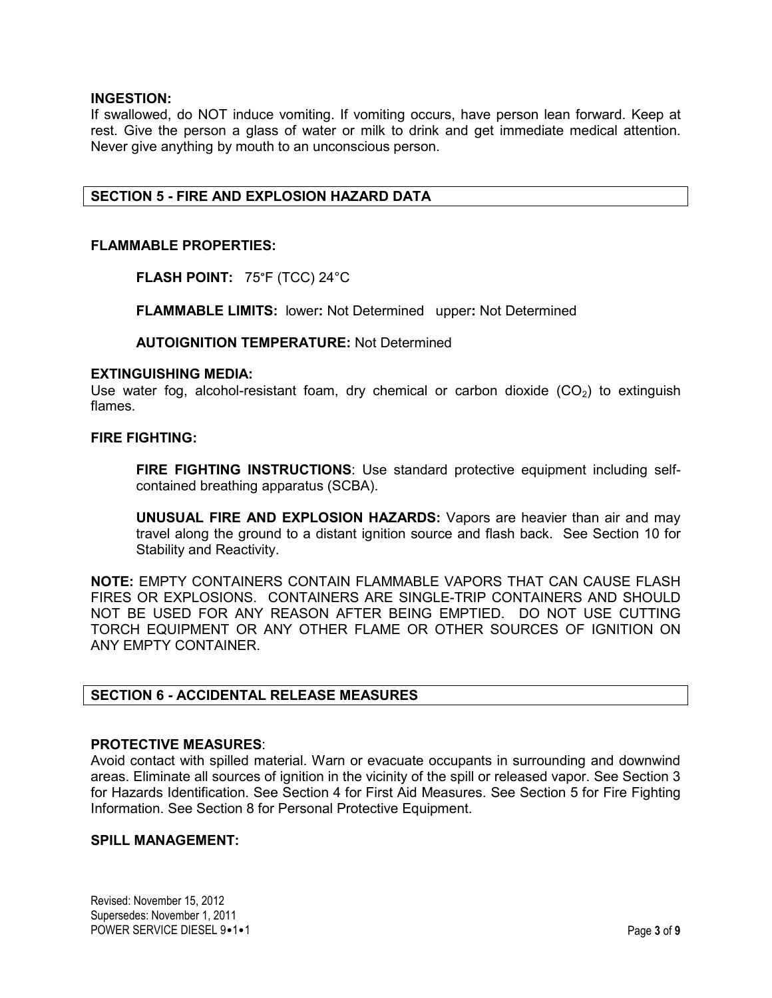## **INGESTION:**

If swallowed, do NOT induce vomiting. If vomiting occurs, have person lean forward. Keep at rest. Give the person a glass of water or milk to drink and get immediate medical attention. Never give anything by mouth to an unconscious person.

# **SECTION 5 - FIRE AND EXPLOSION HAZARD DATA**

### **FLAMMABLE PROPERTIES:**

**FLASH POINT:** 75°F (TCC) 24°C

**FLAMMABLE LIMITS:** lower**:** Not Determined upper**:** Not Determined

**AUTOIGNITION TEMPERATURE:** Not Determined

#### **EXTINGUISHING MEDIA:**

Use water fog, alcohol-resistant foam, dry chemical or carbon dioxide  $(CO<sub>2</sub>)$  to extinguish flames.

## **FIRE FIGHTING:**

**FIRE FIGHTING INSTRUCTIONS**: Use standard protective equipment including selfcontained breathing apparatus (SCBA).

**UNUSUAL FIRE AND EXPLOSION HAZARDS:** Vapors are heavier than air and may travel along the ground to a distant ignition source and flash back.See Section 10 for Stability and Reactivity.

**NOTE:** EMPTY CONTAINERS CONTAIN FLAMMABLE VAPORS THAT CAN CAUSE FLASH FIRES OR EXPLOSIONS. CONTAINERS ARE SINGLE-TRIP CONTAINERS AND SHOULD NOT BE USED FOR ANY REASON AFTER BEING EMPTIED. DO NOT USE CUTTING TORCH EQUIPMENT OR ANY OTHER FLAME OR OTHER SOURCES OF IGNITION ON ANY EMPTY CONTAINER.

# **SECTION 6 - ACCIDENTAL RELEASE MEASURES**

#### **PROTECTIVE MEASURES**:

Avoid contact with spilled material. Warn or evacuate occupants in surrounding and downwind areas. Eliminate all sources of ignition in the vicinity of the spill or released vapor. See Section 3 for Hazards Identification. See Section 4 for First Aid Measures. See Section 5 for Fire Fighting Information. See Section 8 for Personal Protective Equipment.

# **SPILL MANAGEMENT:**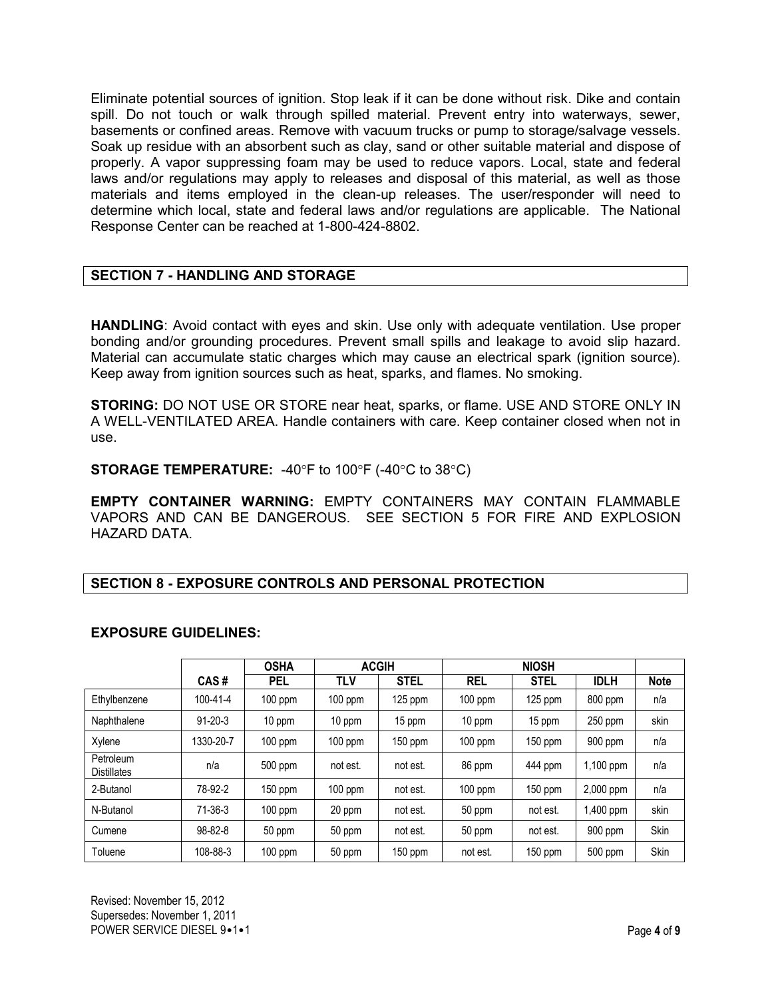Eliminate potential sources of ignition. Stop leak if it can be done without risk. Dike and contain spill. Do not touch or walk through spilled material. Prevent entry into waterways, sewer, basements or confined areas. Remove with vacuum trucks or pump to storage/salvage vessels. Soak up residue with an absorbent such as clay, sand or other suitable material and dispose of properly. A vapor suppressing foam may be used to reduce vapors. Local, state and federal laws and/or regulations may apply to releases and disposal of this material, as well as those materials and items employed in the clean-up releases. The user/responder will need to determine which local, state and federal laws and/or regulations are applicable. The National Response Center can be reached at 1-800-424-8802.

# **SECTION 7 - HANDLING AND STORAGE**

**HANDLING**: Avoid contact with eyes and skin. Use only with adequate ventilation. Use proper bonding and/or grounding procedures. Prevent small spills and leakage to avoid slip hazard. Material can accumulate static charges which may cause an electrical spark (ignition source). Keep away from ignition sources such as heat, sparks, and flames. No smoking.

**STORING:** DO NOT USE OR STORE near heat, sparks, or flame. USE AND STORE ONLY IN A WELL-VENTILATED AREA. Handle containers with care. Keep container closed when not in use.

**STORAGE TEMPERATURE:** -40°F to 100°F (-40°C to 38°C)

**EMPTY CONTAINER WARNING:** EMPTY CONTAINERS MAY CONTAIN FLAMMABLE VAPORS AND CAN BE DANGEROUS. SEE SECTION 5 FOR FIRE AND EXPLOSION HAZARD DATA.

# **SECTION 8 - EXPOSURE CONTROLS AND PERSONAL PROTECTION**

# **EXPOSURE GUIDELINES:**

|                                 |                | <b>OSHA</b> | <b>ACGIH</b> |             | <b>NIOSH</b> |             |             |             |
|---------------------------------|----------------|-------------|--------------|-------------|--------------|-------------|-------------|-------------|
|                                 | CAS#           | <b>PEL</b>  | TLV          | <b>STEL</b> | <b>REL</b>   | <b>STEL</b> | <b>IDLH</b> | <b>Note</b> |
| Ethylbenzene                    | $100 - 41 - 4$ | 100 ppm     | $100$ ppm    | $125$ ppm   | $100$ ppm    | $125$ ppm   | 800 ppm     | n/a         |
| Naphthalene                     | $91 - 20 - 3$  | 10 ppm      | 10 ppm       | 15 ppm      | 10 ppm       | 15 ppm      | 250 ppm     | skin        |
| Xylene                          | 1330-20-7      | $100$ ppm   | $100$ ppm    | $150$ ppm   | $100$ ppm    | 150 ppm     | 900 ppm     | n/a         |
| Petroleum<br><b>Distillates</b> | n/a            | 500 ppm     | not est.     | not est.    | 86 ppm       | 444 ppm     | 1,100 ppm   | n/a         |
| 2-Butanol                       | 78-92-2        | 150 ppm     | $100$ ppm    | not est.    | $100$ ppm    | 150 ppm     | 2,000 ppm   | n/a         |
| N-Butanol                       | $71-36-3$      | $100$ ppm   | 20 ppm       | not est.    | 50 ppm       | not est.    | 1,400 ppm   | skin        |
| Cumene                          | 98-82-8        | 50 ppm      | 50 ppm       | not est.    | 50 ppm       | not est.    | 900 ppm     | <b>Skin</b> |
| Toluene                         | 108-88-3       | $100$ ppm   | 50 ppm       | 150 ppm     | not est.     | $150$ ppm   | 500 ppm     | <b>Skin</b> |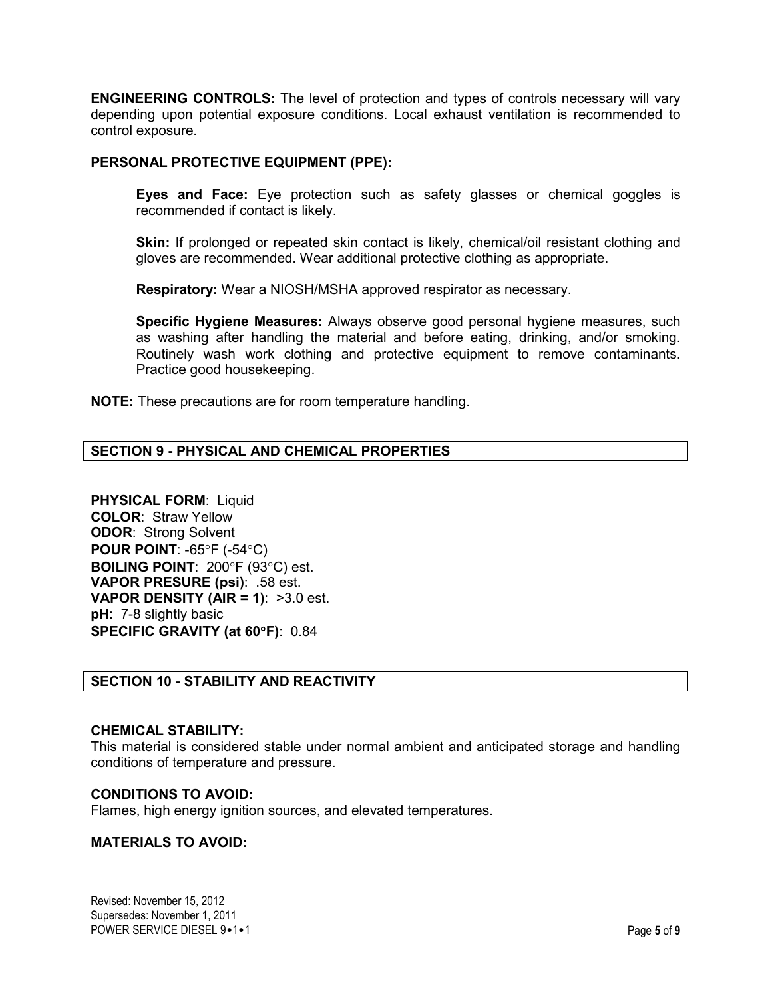**ENGINEERING CONTROLS:** The level of protection and types of controls necessary will vary depending upon potential exposure conditions. Local exhaust ventilation is recommended to control exposure.

## **PERSONAL PROTECTIVE EQUIPMENT (PPE):**

**Eyes and Face:** Eye protection such as safety glasses or chemical goggles is recommended if contact is likely.

Skin: If prolonged or repeated skin contact is likely, chemical/oil resistant clothing and gloves are recommended. Wear additional protective clothing as appropriate.

**Respiratory:** Wear a NIOSH/MSHA approved respirator as necessary.

**Specific Hygiene Measures:** Always observe good personal hygiene measures, such as washing after handling the material and before eating, drinking, and/or smoking. Routinely wash work clothing and protective equipment to remove contaminants. Practice good housekeeping.

**NOTE:** These precautions are for room temperature handling.

# **SECTION 9 - PHYSICAL AND CHEMICAL PROPERTIES**

**PHYSICAL FORM**: Liquid **COLOR**: Straw Yellow **ODOR**: Strong Solvent **POUR POINT**: -65°F (-54°C) **BOILING POINT**: 200°F (93°C) est. **VAPOR PRESURE (psi)**: .58 est. **VAPOR DENSITY (AIR = 1)**: >3.0 est. **pH**: 7-8 slightly basic **SPECIFIC GRAVITY (at 60**°**F)**: 0.84

# **SECTION 10 - STABILITY AND REACTIVITY**

#### **CHEMICAL STABILITY:**

This material is considered stable under normal ambient and anticipated storage and handling conditions of temperature and pressure.

## **CONDITIONS TO AVOID:**

Flames, high energy ignition sources, and elevated temperatures.

## **MATERIALS TO AVOID:**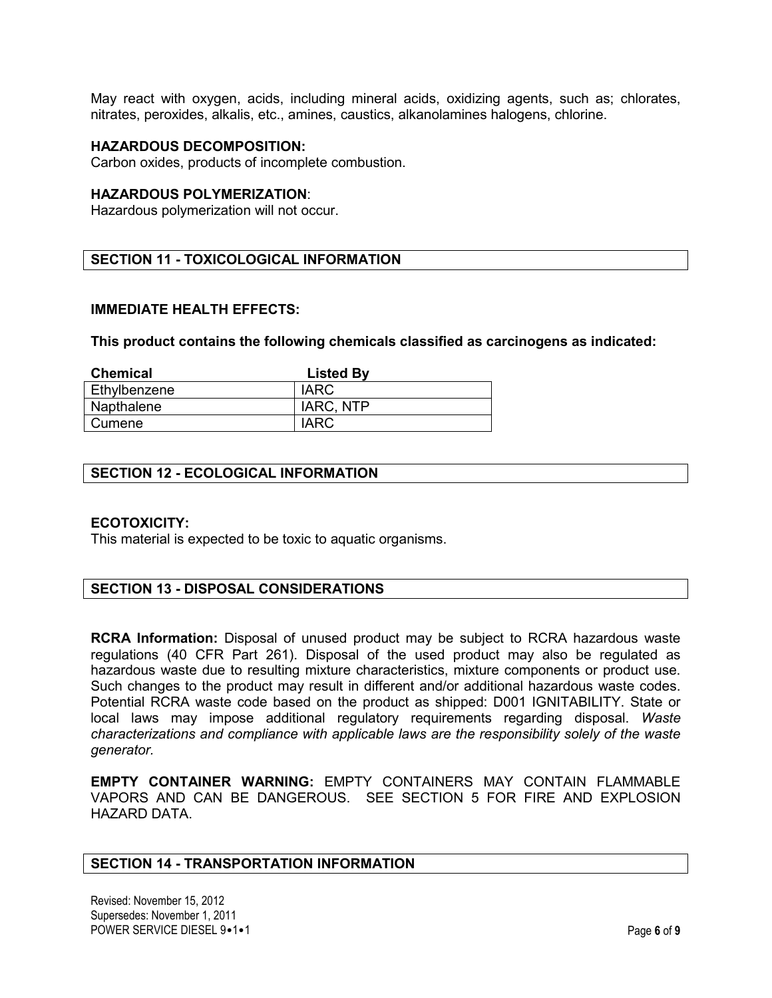May react with oxygen, acids, including mineral acids, oxidizing agents, such as; chlorates, nitrates, peroxides, alkalis, etc., amines, caustics, alkanolamines halogens, chlorine.

#### **HAZARDOUS DECOMPOSITION:**

Carbon oxides, products of incomplete combustion.

# **HAZARDOUS POLYMERIZATION**:

Hazardous polymerization will not occur.

# **SECTION 11 - TOXICOLOGICAL INFORMATION**

#### **IMMEDIATE HEALTH EFFECTS:**

**This product contains the following chemicals classified as carcinogens as indicated:**

| <b>Chemical</b> | <b>Listed By</b> |
|-----------------|------------------|
| Ethylbenzene    | <b>IARC</b>      |
| Napthalene      | IARC, NTP        |
| Cumene          | IARC             |

## **SECTION 12 - ECOLOGICAL INFORMATION**

#### **ECOTOXICITY:**

This material is expected to be toxic to aquatic organisms.

## **SECTION 13 - DISPOSAL CONSIDERATIONS**

**RCRA Information:** Disposal of unused product may be subject to RCRA hazardous waste regulations (40 CFR Part 261). Disposal of the used product may also be regulated as hazardous waste due to resulting mixture characteristics, mixture components or product use. Such changes to the product may result in different and/or additional hazardous waste codes. Potential RCRA waste code based on the product as shipped: D001 IGNITABILITY. State or local laws may impose additional regulatory requirements regarding disposal. *Waste characterizations and compliance with applicable laws are the responsibility solely of the waste generator.*

**EMPTY CONTAINER WARNING:** EMPTY CONTAINERS MAY CONTAIN FLAMMABLE VAPORS AND CAN BE DANGEROUS. SEE SECTION 5 FOR FIRE AND EXPLOSION HAZARD DATA.

#### **SECTION 14 - TRANSPORTATION INFORMATION**

Revised: November 15, 2012 Supersedes: November 1, 2011 POWER SERVICE DIESEL 9•1•1 Page 6 of 9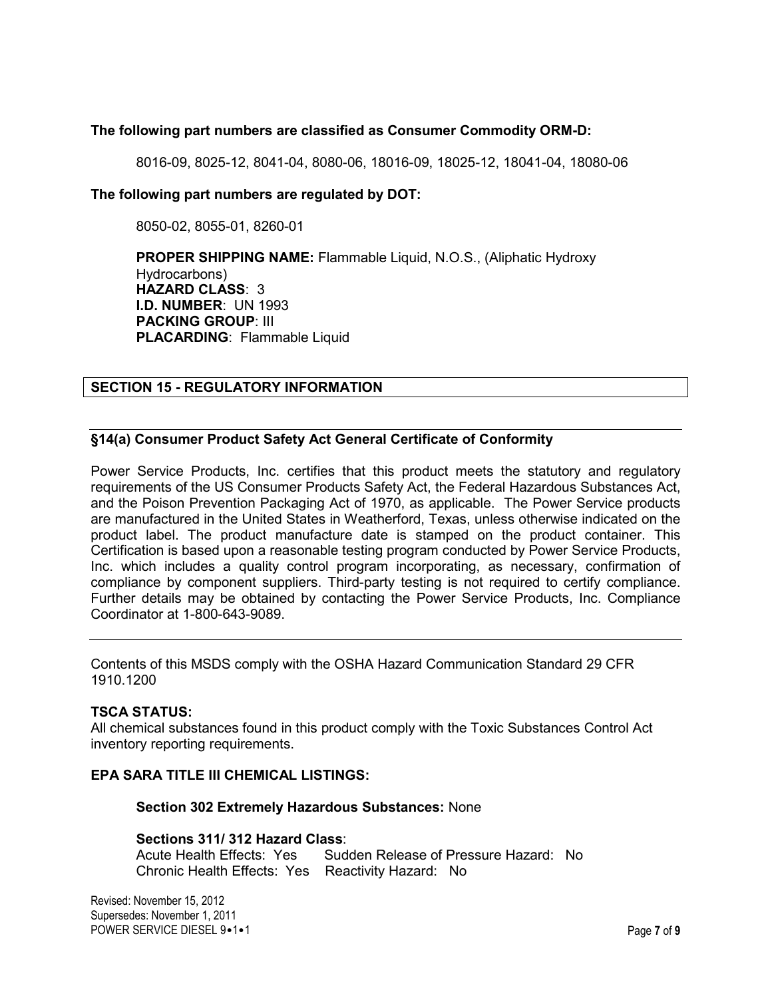# **The following part numbers are classified as Consumer Commodity ORM-D:**

8016-09, 8025-12, 8041-04, 8080-06, 18016-09, 18025-12, 18041-04, 18080-06

## **The following part numbers are regulated by DOT:**

8050-02, 8055-01, 8260-01

**PROPER SHIPPING NAME:** Flammable Liquid, N.O.S., (Aliphatic Hydroxy Hydrocarbons) **HAZARD CLASS**: 3 **I.D. NUMBER**: UN 1993 **PACKING GROUP**: III **PLACARDING**: Flammable Liquid

# **SECTION 15 - REGULATORY INFORMATION**

# **§14(a) Consumer Product Safety Act General Certificate of Conformity**

Power Service Products, Inc. certifies that this product meets the statutory and regulatory requirements of the US Consumer Products Safety Act, the Federal Hazardous Substances Act, and the Poison Prevention Packaging Act of 1970, as applicable. The Power Service products are manufactured in the United States in Weatherford, Texas, unless otherwise indicated on the product label. The product manufacture date is stamped on the product container. This Certification is based upon a reasonable testing program conducted by Power Service Products, Inc. which includes a quality control program incorporating, as necessary, confirmation of compliance by component suppliers. Third-party testing is not required to certify compliance. Further details may be obtained by contacting the Power Service Products, Inc. Compliance Coordinator at 1-800-643-9089.

Contents of this MSDS comply with the OSHA Hazard Communication Standard 29 CFR 1910.1200

## **TSCA STATUS:**

All chemical substances found in this product comply with the Toxic Substances Control Act inventory reporting requirements.

## **EPA SARA TITLE III CHEMICAL LISTINGS:**

**Section 302 Extremely Hazardous Substances:** None

# **Sections 311/ 312 Hazard Class**:

Sudden Release of Pressure Hazard: No Chronic Health Effects: Yes Reactivity Hazard: No

Revised: November 15, 2012 Supersedes: November 1, 2011 POWER SERVICE DIESEL 9•1•1 Page 7 of 9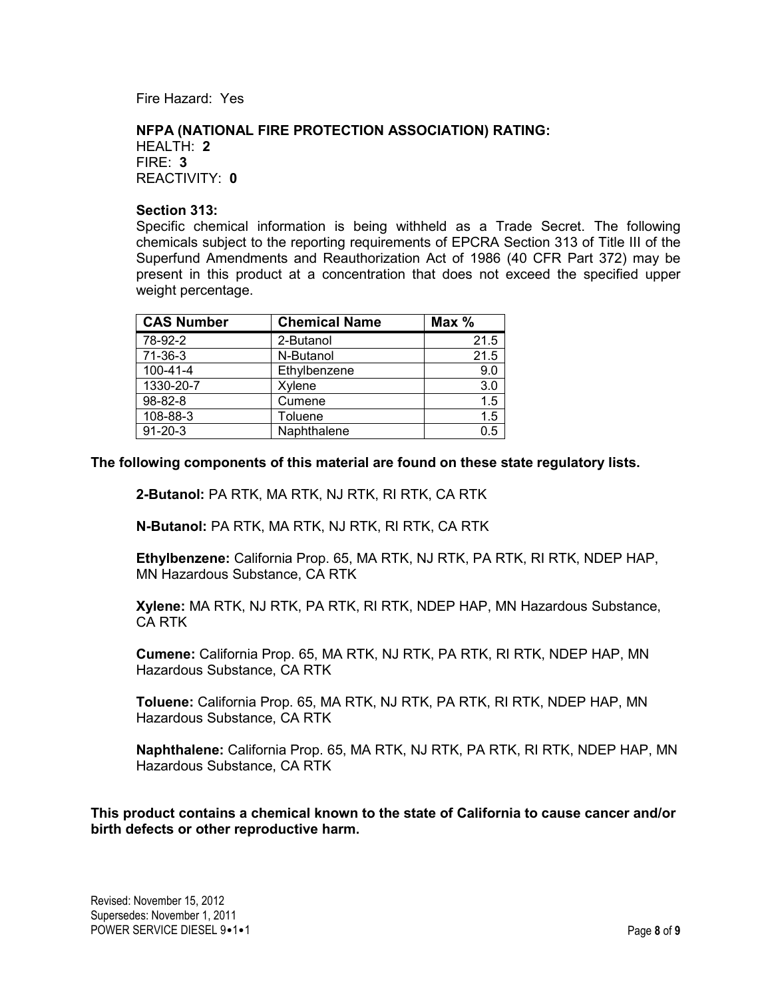Fire Hazard: Yes

## **NFPA (NATIONAL FIRE PROTECTION ASSOCIATION) RATING:**

HEALTH: **2** FIRE: **3** REACTIVITY: **0**

## **Section 313:**

Specific chemical information is being withheld as a Trade Secret. The following chemicals subject to the reporting requirements of EPCRA Section 313 of Title III of the Superfund Amendments and Reauthorization Act of 1986 (40 CFR Part 372) may be present in this product at a concentration that does not exceed the specified upper weight percentage.

| <b>CAS Number</b> | <b>Chemical Name</b> | Max $%$ |
|-------------------|----------------------|---------|
| 78-92-2           | 2-Butanol            | 21.5    |
| 71-36-3           | N-Butanol            | 21.5    |
| $100 - 41 - 4$    | Ethylbenzene         | 9.0     |
| 1330-20-7         | Xylene               | 3.0     |
| 98-82-8           | Cumene               | 1.5     |
| 108-88-3          | Toluene              | 1.5     |
| $91 - 20 - 3$     | Naphthalene          | 0.5     |

**The following components of this material are found on these state regulatory lists.** 

**2-Butanol:** PA RTK, MA RTK, NJ RTK, RI RTK, CA RTK

**N-Butanol:** PA RTK, MA RTK, NJ RTK, RI RTK, CA RTK

**Ethylbenzene:** California Prop. 65, MA RTK, NJ RTK, PA RTK, RI RTK, NDEP HAP, MN Hazardous Substance, CA RTK

**Xylene:** MA RTK, NJ RTK, PA RTK, RI RTK, NDEP HAP, MN Hazardous Substance, CA RTK

**Cumene:** California Prop. 65, MA RTK, NJ RTK, PA RTK, RI RTK, NDEP HAP, MN Hazardous Substance, CA RTK

**Toluene:** California Prop. 65, MA RTK, NJ RTK, PA RTK, RI RTK, NDEP HAP, MN Hazardous Substance, CA RTK

**Naphthalene:** California Prop. 65, MA RTK, NJ RTK, PA RTK, RI RTK, NDEP HAP, MN Hazardous Substance, CA RTK

**This product contains a chemical known to the state of California to cause cancer and/or birth defects or other reproductive harm.**